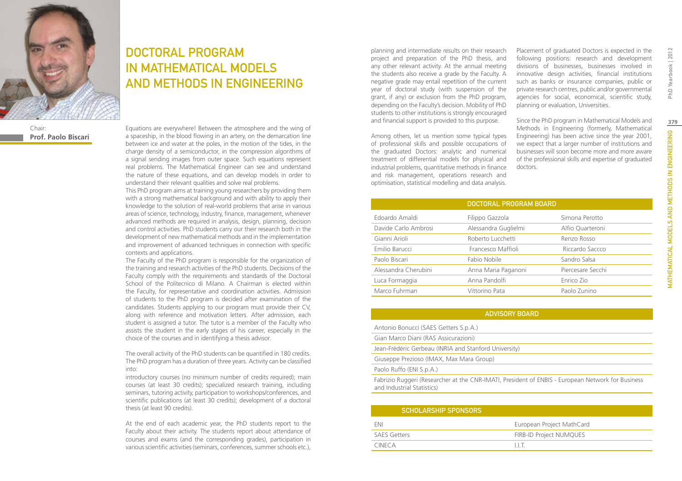

DOCTORAL PROGRAM IN MATHEMATICAL MODELS AND METHODS IN ENGINEERING

Chair: **Prof. Paolo Biscari**

Equations are everywhere! Between the atmosphere and the wing of a spaceship, in the blood flowing in an artery, on the demarcation line between ice and water at the poles, in the motion of the tides, in the charge density of a semiconductor, in the compression algorithms of a signal sending images from outer space. Such equations represent real problems. The Mathematical Engineer can see and understand the nature of these equations, and can develop models in order to understand their relevant qualities and solve real problems.

This PhD program aims at training young researchers by providing them with a strong mathematical background and with ability to apply their knowledge to the solution of real-world problems that arise in various areas of science, technology, industry, finance, management, whenever advanced methods are required in analysis, design, planning, decision and control activities. PhD students carry our their research both in the development of new mathematical methods and in the implementation and improvement of advanced techniques in connection with specific contexts and applications.

The Faculty of the PhD program is responsible for the organization of the training and research activities of the PhD students. Decisions of the Faculty comply with the requirements and standards of the Doctoral School of the Politecnico di Milano. A Chairman is elected within the Faculty, for representative and coordination activities. Admission of students to the PhD program is decided after examination of the candidates. Students applying to our program must provide their CV, along with reference and motivation letters. After admission, each student is assigned a tutor. The tutor is a member of the Faculty who assists the student in the early stages of his career, especially in the choice of the courses and in identifying a thesis advisor.

The overall activity of the PhD students can be quantified in 180 credits. The PhD program has a duration of three years. Activity can be classified into:

introductory courses (no minimum number of credits required); main courses (at least 30 credits); specialized research training, including seminars, tutoring activity, participation to workshops/conferences, and scientific publications (at least 30 credits); development of a doctoral thesis (at least 90 credits).

At the end of each academic year, the PhD students report to the Faculty about their activity. The students report about attendance of courses and exams (and the corresponding grades), participation in various scientific activities (seminars, conferences, summer schools etc.), planning and intermediate results on their research project and preparation of the PhD thesis, and any other relevant activity. At the annual meeting the students also receive a grade by the Faculty. A negative grade may entail repetition of the current year of doctoral study (with suspension of the grant, if any) or exclusion from the PhD program, depending on the Faculty's decision. Mobility of PhD students to other institutions is strongly encouraged and financial support is provided to this purpose.

Among others, let us mention some typical types of professional skills and possible occupations of the graduated Doctors: analytic and numerical treatment of differential models for physical and industrial problems, quantitative methods in finance and risk management, operations research and optimisation, statistical modelling and data analysis.

Placement of graduated Doctors is expected in the following positions: research and development divisions of businesses, businesses involved in innovative design activities, financial institutions such as banks or insurance companies, public or private research centres, public and/or governmental agencies for social, economical, scientific study, planning or evaluation, Universities.

Since the PhD program in Mathematical Models and Methods in Engineering (formerly, Mathematical Engineering) has been active since the year 2001, we expect that a larger number of institutions and businesses will soon become more and more aware of the professional skills and expertise of graduated doctors.

#### ADVISORY BOARD

| Antonio Bonucci (SAES Getters S.p.A.)                 |
|-------------------------------------------------------|
| Gian Marco Diani (RAS Assicurazioni)                  |
| Jean-Frédéric Gerbeau (INRIA and Stanford University) |
| Giuseppe Prezioso (IMAX, Max Mara Group)              |
| Paolo Ruffo (ENI S.p.A.)                              |

Fabrizio Ruggeri (Researcher at the CNR-IMATI, President of ENBIS - European Network for Business and Industrial Statistics)

| <b>SCHOLARSHIP SPONSORS</b> |                                |
|-----------------------------|--------------------------------|
| <b>FNI</b>                  | European Project MathCard      |
| <b>SAES Getters</b>         | <b>FIRB-ID Project NUMQUES</b> |
| CINECA                      | LLT.                           |

Yearbook | 2012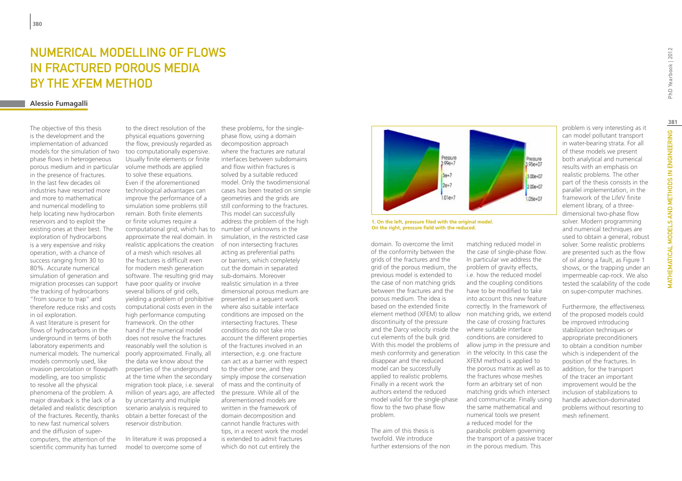# Numerical Modelling of Flows in Fractured Porous Media by the XFEM Method

### **Alessio Fumagalli**

The objective of this thesis is the development and the implementation of advanced models for the simulation of two phase flows in heterogeneous porous medium and in particular in the presence of fractures. In the last few decades oil industries have resorted more and more to mathematical and numerical modelling to help locating new hydrocarbon reservoirs and to exploit the existing ones at their best. The exploration of hydrocarbons is a very expensive and risky operation, with a chance of success ranging from 30 to 80%. Accurate numerical simulation of generation and migration processes can support the tracking of hydrocarbons "from source to trap" and therefore reduce risks and costs in oil exploration. A vast literature is present for flows of hydrocarbons in the underground in terms of both laboratory experiments and numerical models. The numerical models commonly used, like invasion percolation or flowpath modelling, are too simplistic to resolve all the physical phenomena of the problem. A major drawback is the lack of a detailed and realistic description of the fractures. Recently, thanks to new fast numerical solvers and the diffusion of supercomputers, the attention of the scientific community has turned

to the direct resolution of the physical equations governing the flow, previously regarded as too computationally expensive. Usually finite elements or finite volume methods are applied to solve these equations. Even if the aforementioned technological advantages can improve the performance of a simulation some problems still remain. Both finite elements or finite volumes require a computational grid, which has to number of unknowns in the approximate the real domain. In realistic applications the creation of a mesh which resolves all the fractures is difficult even for modern mesh generation software. The resulting grid may have poor quality or involve several billions of grid cells. yielding a problem of prohibitive presented in a sequent work computational costs even in the high performance computing framework. On the other hand if the numerical model does not resolve the fractures reasonably well the solution is poorly approximated. Finally, all the data we know about the properties of the underground at the time when the secondary migration took place, i.e. several million of years ago, are affected by uncertainty and multiple scenario analysis is required to obtain a better forecast of the reservoir distribution.

In literature it was proposed a model to overcome some of

these problems, for the singlephase flow, using a domain decomposition approach where the fractures are natural interfaces between subdomains and flow within fractures is solved by a suitable reduced model. Only the twodimensional cases has been treated on simple geometries and the grids are still conforming to the fractures. This model can successfully address the problem of the high simulation, in the restricted case of non intersecting fractures acting as preferential paths or barriers, which completely cut the domain in separated sub-domains. Moreover realistic simulation in a three dimensional porous medium are where also suitable interface conditions are imposed on the intersecting fractures. These conditions do not take into account the different properties of the fractures involved in an intersection, e.g. one fracture can act as a barrier with respect to the other one, and they simply impose the conservation of mass and the continuity of the pressure. While all of the aforementioned models are written in the framework of domain decomposition and cannot handle fractures with tips, in a recent work the model is extended to admit fractures which do not cut entirely the



**1. On the left, pressure filed with the original model. On the right, pressure field with the reduced.**

domain. To overcome the limit of the conformity between the grids of the fractures and the grid of the porous medium, the previous model is extended to the case of non matching grids between the fractures and the porous medium. The idea is based on the extended finite discontinuity of the pressure and the Darcy velocity inside the where suitable interface cut elements of the bulk grid. mesh conformity and generation in the velocity. In this case the disappear and the reduced model can be successfully applied to realistic problems. Finally in a recent work the authors extend the reduced model valid for the single-phase flow to the two phase flow problem.

The aim of this thesis is twofold. We introduce further extensions of the non

element method (XFEM) to allow non matching grids, we extend With this model the problems of allow jump in the pressure and matching reduced model in the case of single-phase flow. In particular we address the problem of gravity effects. i.e. how the reduced model and the coupling conditions have to be modified to take into account this new feature correctly. In the framework of the case of crossing fractures conditions are considered to XFEM method is applied to the porous matrix as well as to the fractures whose meshes form an arbitrary set of non matching grids which intersect and communicate. Finally using the same mathematical and numerical tools we present a reduced model for the parabolic problem governing the transport of a passive tracer in the porous medium. This

problem is very interesting as it can model pollutant transport in water-bearing strata. For all of these models we present both analytical and numerical results with an emphasis on realistic problems. The other part of the thesis consists in the parallel implementation, in the framework of the LifeV finite element library, of a threedimensional two-phase flow solver. Modern programming and numerical techniques are used to obtain a general, robust solver. Some realistic problems are presented such as the flow of oil along a fault, as Figure 1 shows, or the trapping under an impermeable cap-rock. We also tested the scalability of the code on super-computer machines.

Furthermore, the effectiveness of the proposed models could be improved introducing stabilization techniques or appropriate preconditioners to obtain a condition number which is independent of the position of the fractures. In addition, for the transport of the tracer an important improvement would be the inclusion of stabilizations to handle advection-dominated problems without resorting to mesh refinement.

PhD Yearbook | 2012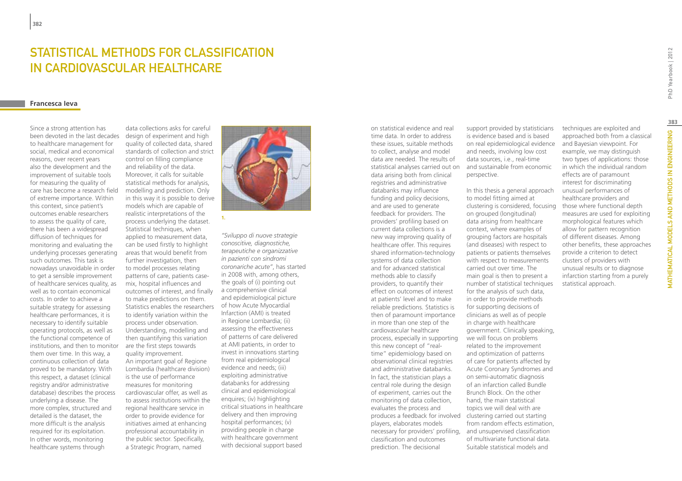# STATISTICAL METHODS FOR CLASSIFICATION IN CARDIOVASCULAR HEALTHCARE

### **Francesca Ieva**

Since a strong attention has been devoted in the last decades to healthcare management for social, medical and economical reasons, over recent years also the development and the improvement of suitable tools for measuring the quality of care has become a research field of extreme importance. Within this context, since patient's outcomes enable researchers to assess the quality of care, there has been a widespread diffusion of techniques for monitoring and evaluating the underlying processes generating such outcomes. This task is nowadays unavoidable in order to get a sensible improvement of healthcare services quality, as well as to contain economical costs. In order to achieve a suitable strategy for assessing healthcare performances, it is necessary to identify suitable operating protocols, as well as the functional competence of institutions, and then to monitor them over time. In this way, a continuous collection of data proved to be mandatory. With this respect, a dataset (clinical registry and/or administrative database) describes the process underlying a disease. The more complex, structured and detailed is the dataset, the more difficult is the analysis required for its exploitation. In other words, monitoring healthcare systems through

data collections asks for careful design of experiment and high quality of collected data, shared standards of collection and strict control on filling compliance and reliability of the data. Moreover, it calls for suitable statistical methods for analysis, modelling and prediction. Only in this way it is possible to derive models which are capable of realistic interpretations of the process underlying the dataset. Statistical techniques, when applied to measurement data, can be used firstly to highlight areas that would benefit from further investigation, then to model processes relating patterns of care, patients casemix, hospital influences and outcomes of interest, and finally to make predictions on them. Statistics enables the researchers to identify variation within the process under observation. Understanding, modelling and then quantifying this variation are the first steps towards quality improvement. An important goal of Regione Lombardia (healthcare division) is the use of performance measures for monitoring cardiovascular offer, as well as to assess institutions within the regional healthcare service in order to provide evidence for initiatives aimed at enhancing professional accountability in the public sector. Specifically, a Strategic Program, named



**1.**

*"Sviluppo di nuove strategie conoscitive, diagnostiche, terapeutiche e organizzative in pazienti con sindromi coronariche acute"*, has started in 2008 with, among others, the goals of (i) pointing out a comprehensive clinical and epidemiological picture of how Acute Myocardial Infarction (AMI) is treated in Regione Lombardia; (ii) assessing the effectiveness of patterns of care delivered at AMI patients, in order to invest in innovations starting from real epidemiological evidence and needs; (iii) exploiting administrative databanks for addressing clinical and epidemiological enquires; (iv) highlighting critical situations in healthcare delivery and then improving hospital performances; (v) providing people in charge with healthcare government with decisional support based

time data. In order to address these issues, suitable methods to collect, analyse and model data are needed. The results of statistical analyses carried out on data arising both from clinical registries and administrative databanks may influence funding and policy decisions, and are used to generate feedback for providers. The providers' profiling based on current data collections is a new way improving quality of healthcare offer. This requires shared information-technology systems of data collection and for advanced statistical methods able to classify providers, to quantify their effect on outcomes of interest at patients' level and to make reliable predictions. Statistics is then of paramount importance in more than one step of the cardiovascular healthcare process, especially in supporting this new concept of "realtime" epidemiology based on observational clinical registries and administrative databanks. In fact, the statistician plays a central role during the design of experiment, carries out the monitoring of data collection, evaluates the process and produces a feedback for involved clustering carried out starting players, elaborates models necessary for providers' profiling, and unsupervised classification classification and outcomes prediction. The decisional

on statistical evidence and real

support provided by statisticians is evidence based and is based on real epidemiological evidence and needs, involving low cost data sources, i.e., real-time and sustainable from economic perspective.

In this thesis a general approach to model fitting aimed at clustering is considered, focusing on grouped (longitudinal) data arising from healthcare context, where examples of grouping factors are hospitals (and diseases) with respect to patients or patients themselves with respect to measurements carried out over time. The main goal is then to present a number of statistical techniques for the analysis of such data, in order to provide methods for supporting decisions of clinicians as well as of people in charge with healthcare government. Clinically speaking, we will focus on problems related to the improvement and optimization of patterns of care for patients affected by Acute Coronary Syndromes and on semi-automatic diagnosis of an infarction called Bundle Brunch Block. On the other hand, the main statistical topics we will deal with are from random effects estimation, of multivariate functional data. Suitable statistical models and

techniques are exploited and approached both from a classical and Bayesian viewpoint. For example, we may distinguish two types of applications: those in which the individual random effects are of paramount interest for discriminating unusual performances of healthcare providers and those where functional depth measures are used for exploiting morphological features which allow for pattern recognition of different diseases. Among other benefits, these approaches provide a criterion to detect clusters of providers with unusual results or to diagnose infarction starting from a purely statistical approach.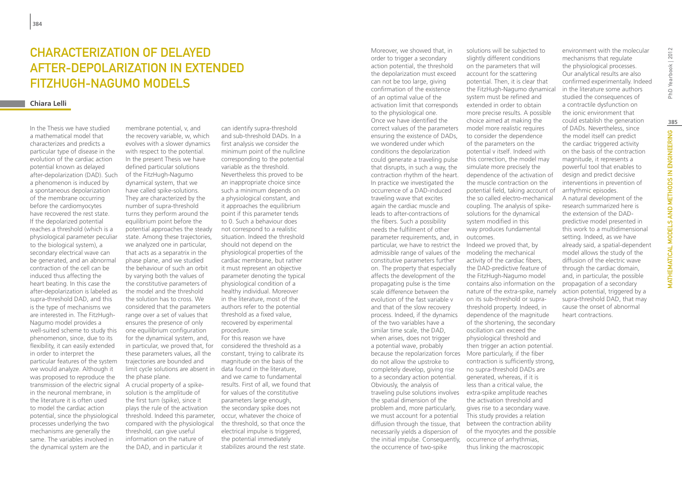# CHARACTERIZATION OF DELAYED after-depolarization in extended FitzHugh-Nagumo models

### **Chiara Lelli**

In the Thesis we have studied a mathematical model that characterizes and predicts a particular type of disease in the evolution of the cardiac action potential known as delayed after-depolarization (DAD). Such a phenomenon is induced by a spontaneous depolarization of the membrane occurring before the cardiomyocytes have recovered the rest state. If the depolarized potential reaches a threshold (which is a physiological parameter peculiar to the biological system), a secondary electrical wave can be generated, and an abnormal contraction of the cell can be induced thus affecting the heart beating. In this case the after-depolarization is labeled as supra-threshold DAD, and this is the type of mechanisms we are interested in. The FitzHugh-Nagumo model provides a well-suited scheme to study this phenomenon, since, due to its flexibility, it can easily extended in order to interpret the particular features of the system we would analyze. Although it was proposed to reproduce the transmission of the electric signal in the neuronal membrane, in the literature it is often used to model the cardiac action potential, since the physiological processes underlying the two mechanisms are generally the same. The variables involved in the dynamical system are the

membrane potential, v, and the recovery variable, w, which evolves with a slower dynamics with respect to the potential. In the present Thesis we have defined particular solutions of the FitzHugh-Nagumo dynamical system, that we have called spike-solutions. They are characterized by the number of supra-threshold turns they perform around the equilibrium point before the potential approaches the steady state. Among these trajectories, we analyzed one in particular, that acts as a separatrix in the phase plane, and we studied the behaviour of such an orbit by varying both the values of the constitutive parameters of the model and the threshold the solution has to cross. We considered that the parameters range over a set of values that ensures the presence of only one equilibrium configuration for the dynamical system, and, in particular, we proved that, for these parameters values, all the trajectories are bounded and limit cycle solutions are absent in data found in the literature, the phase plane. A crucial property of a spikesolution is the amplitude of the first turn (spike), since it plays the rule of the activation threshold. Indeed this parameter, compared with the physiological threshold, can give useful information on the nature of the DAD, and in particular it

can identify supra-threshold and sub-threshold DADs. In a first analysis we consider the minimum point of the nullcline corresponding to the potential variable as the threshold. Nevertheless this proved to be an inappropriate choice since such a minimum depends on a physiological constant, and it approaches the equilibrium point if this parameter tends to 0. Such a behaviour does not correspond to a realistic situation. Indeed the threshold should not depend on the physiological properties of the cardiac membrane, but rather it must represent an objective parameter denoting the typical physiological condition of a healthy individual. Moreover in the literature, most of the authors refer to the potential threshold as a fixed value, recovered by experimental procedure. For this reason we have

considered the threshold as a constant, trying to calibrate its magnitude on the basis of the and we came to fundamental results. First of all, we found that for values of the constitutive parameters large enough, the secondary spike does not occur, whatever the choice of the threshold, so that once the electrical impulse is triggered, the potential immediately stabilizes around the rest state.

Moreover, we showed that, in order to trigger a secondary action potential, the threshold the depolarization must exceed can not be too large, giving confirmation of the existence of an optimal value of the activation limit that corresponds to the physiological one. Once we have identified the correct values of the parameters ensuring the existence of DADs, we wondered under which conditions the depolarization could generate a traveling pulse that disrupts, in such a way, the contraction rhythm of the heart. In practice we investigated the occurrence of a DAD-induced traveling wave that excites again the cardiac muscle and leads to after-contractions of the fibers. Such a possibility needs the fulfilment of other parameter requirements, and, in particular, we have to restrict the admissible range of values of the modeling the mechanical constitutive parameters further on. The property that especially affects the development of the propagating pulse is the time scale difference between the evolution of the fast variable v and that of the slow recovery process. Indeed, if the dynamics of the two variables have a similar time scale, the DAD, when arises, does not trigger a potential wave, probably because the repolarization forces More particularly, if the fiber do not allow the upstroke to completely develop, giving rise to a secondary action potential. Obviously, the analysis of traveling pulse solutions involves extra-spike amplitude reaches the spatial dimension of the problem and, more particularly, we must account for a potential diffusion through the tissue, that between the contraction ability necessarily yields a dispersion of the initial impulse. Consequently, occurrence of arrhythmias, the occurrence of two-spike

solutions will be subjected to slightly different conditions on the parameters that will account for the scattering potential. Then, it is clear that the FitzHugh-Nagumo dynamical system must be refined and extended in order to obtain more precise results. A possible choice aimed at making the model more realistic requires to consider the dependence of the parameters on the potential v itself. Indeed with this correction, the model may simulate more precisely the dependence of the activation of the muscle contraction on the potential field, taking account of the so called electro-mechanical coupling. The analysis of spikesolutions for the dynamical system modified in this way produces fundamental outcomes. Indeed we proved that, by activity of the cardiac fibers, the DAD-predictive feature of the FitzHugh-Nagumo model contains also information on the nature of the extra-spike, namely on its sub-threshold or suprathreshold property. Indeed, in dependence of the magnitude of the shortening, the secondary oscillation can exceed the physiological threshold and then trigger an action potential. contraction is sufficiently strong,

no supra-threshold DADs are generated, whereas, if it is less than a critical value, the

the activation threshold and gives rise to a secondary wave. This study provides a relation

of the myocytes and the possible

thus linking the macroscopic

environment with the molecular mechanisms that regulate the physiological processes. Our analytical results are also confirmed experimentally. Indeed in the literature some authors studied the consequences of a contractile dysfunction on the ionic environment that could establish the generation of DADs. Nevertheless, since the model itself can predict the cardiac triggered activity on the basis of the contraction magnitude, it represents a powerful tool that enables to design and predict decisive interventions in prevention of arrhythmic episodes. A natural development of the research summarized here is the extension of the DADpredictive model presented in this work to a multidimensional setting. Indeed, as we have already said, a spatial-dependent model allows the study of the diffusion of the electric wave

heart contractions.

through the cardiac domain, and, in particular, the possible propagation of a secondary action potential, triggered by a supra-threshold DAD, that may cause the onset of abnormal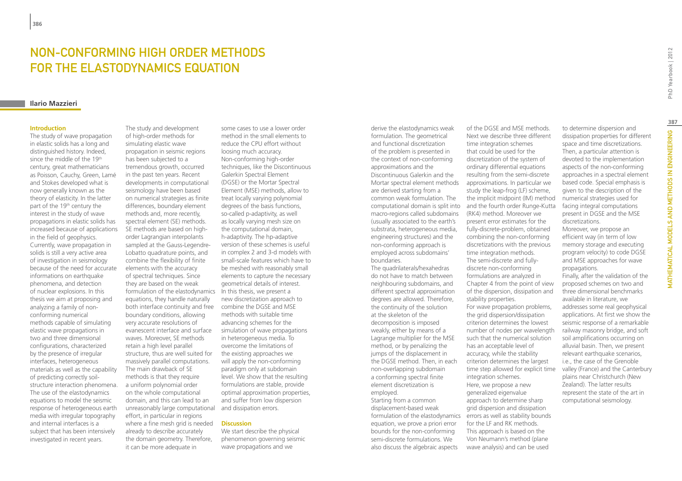# NON-CONFORMING HIGH ORDER METHODS FOR THE ELASTODYNAMICS EQUATION

### **Ilario Mazzieri**

#### **Introduction**

The study of wave propagation in elastic solids has a long and distinguished history. Indeed, since the middle of the 19<sup>th</sup> century, great mathematicians as Poisson, Cauchy, Green, Lamé and Stokes developed what is now generally known as the theory of elasticity. In the latter part of the 19<sup>th</sup> century the interest in the study of wave propagations in elastic solids has increased because of applications in the field of geophysics. Currently, wave propagation in solids is still a very active area of investigation in seismology because of the need for accurate informations on earthquake phenomena, and detection of nuclear explosions. In this thesis we aim at proposing and analyzing a family of nonconforming numerical methods capable of simulating elastic wave propagations in two and three dimensional configurations, characterized by the presence of irregular interfaces, heterogeneous materials as well as the capability of predicting correctly soilstructure interaction phenomena. The use of the elastodynamics equations to model the seismic response of heterogeneous earth media with irregular topography and internal interfaces is a subject that has been intensively investigated in recent years.

The study and development of high-order methods for simulating elastic wave propagation in seismic regions has been subjected to a tremendous growth, occurred in the past ten years. Recent developments in computational seismology have been based on numerical strategies as finite differences, boundary element methods and, more recently, spectral element (SE) methods. SE methods are based on highorder Lagrangian interpolants sampled at the Gauss-Legendre-Lobatto quadrature points, and combine the flexibility of finite elements with the accuracy of spectral techniques. Since they are based on the weak formulation of the elastodynamics In this thesis, we present a equations, they handle naturally both interface continuity and free combine the DGSE and MSE boundary conditions, allowing very accurate resolutions of evanescent interface and surface waves. Moreover, SE methods retain a high level parallel structure, thus are well suited for massively parallel computations. The main drawback of SE methods is that they require a uniform polynomial order on the whole computational domain, and this can lead to an unreasonably large computational and dissipation errors. effort, in particular in regions where a fine mesh grid is needed already to describe accurately the domain geometry. Therefore, it can be more adequate in

some cases to use a lower order method in the small elements to reduce the CPU effort without loosing much accuracy. Non-conforming high-order techniques, like the Discontinuous Galerkin Spectral Element (DGSE) or the Mortar Spectral Element (MSE) methods, allow to treat locally varying polynomial degrees of the basis functions, so-called p-adaptivity, as well as locally varying mesh size on the computational domain, h-adaptivity. The hp-adaptive version of these schemes is useful in complex 2 and 3-d models with small-scale features which have to be meshed with reasonably small elements to capture the necessary geometrical details of interest. new discretization approach to methods with suitable time advancing schemes for the simulation of wave propagations in heterogeneous media. To overcome the limitations of the existing approaches we will apply the non-conforming paradigm only at subdomain level. We show that the resulting formulations are stable, provide optimal approximation properties, and suffer from low dispersion

### **Discussion**

We start describe the physical phenomenon governing seismic wave propagations and we

derive the elastodynamics weak formulation. The geometrical and functional discretization of the problem is presented in the context of non-conforming approximations and the Discontinuous Galerkin and the Mortar spectral element methods are derived starting from a common weak formulation. The macro-regions called subdomains (usually associated to the earth's substrata, heterogeneous media, engineering structures) and the non-conforming approach is employed across subdomains' boundaries.

The quadrilaterals/hexahedras do not have to match between neighbouring subdomains, and different spectral approximation degrees are allowed. Therefore, the continuity of the solution at the skeleton of the decomposition is imposed weakly, either by means of a Lagrange multiplier for the MSE method, or by penalizing the jumps of the displacement in the DGSE method. Then, in each non-overlapping subdomain a conforming spectral finite element discretization is employed. Starting from a common displacement-based weak equation, we prove a priori error bounds for the non-conforming

semi-discrete formulations. We also discuss the algebraic aspects

computational domain is split into and the fourth order Runge-Kutta of the DGSE and MSE methods. Next we describe three different time integration schemes that could be used for the discretization of the system of ordinary differential equations resulting from the semi-discrete approximations. In particular we study the leap-frog (LF) scheme, the implicit midpoint (IM) method (RK4) method. Moreover we present error estimates for the fully-discrete-problem, obtained combining the non-conforming discretizations with the previous time integration methods. The semi-discrete and fullydiscrete non-conforming formulations are analyzed in Chapter 4 from the point of view of the dispersion, dissipation and stability properties. For wave propagation problems, the grid dispersion/dissipation criterion determines the lowest number of nodes per wavelength such that the numerical solution has an acceptable level of accuracy, while the stability criterion determines the largest time step allowed for explicit time integration schemes. Here, we propose a new generalized eigenvalue

formulation of the elastodynamics errors as well as stability bounds approach to determine sharp grid dispersion and dissipation for the LF and RK methods. This approach is based on the Von Neumann's method (plane wave analysis) and can be used

to determine dispersion and dissipation properties for different space and time discretizations. Then, a particular attention is devoted to the implementation aspects of the non-conforming approaches in a spectral element based code. Special emphasis is given to the description of the numerical strategies used for facing integral computations present in DGSE and the MSE discretizations.

Moreover, we propose an efficient way (in term of low memory storage and executing program velocity) to code DGSE and MSE approaches for wave propagations.

Finally, after the validation of the proposed schemes on two and three dimensional benchmarks available in literature, we addresses some real geophysical applications. At first we show the seismic response of a remarkable railway masonry bridge, and soft soil amplifications occurring on alluvial basin. Then, we present relevant earthquake scenarios, i.e., the case of the Grenoble valley (France) and the Canterbury plains near Christchurch (New Zealand). The latter results represent the state of the art in computational seismology.

**387**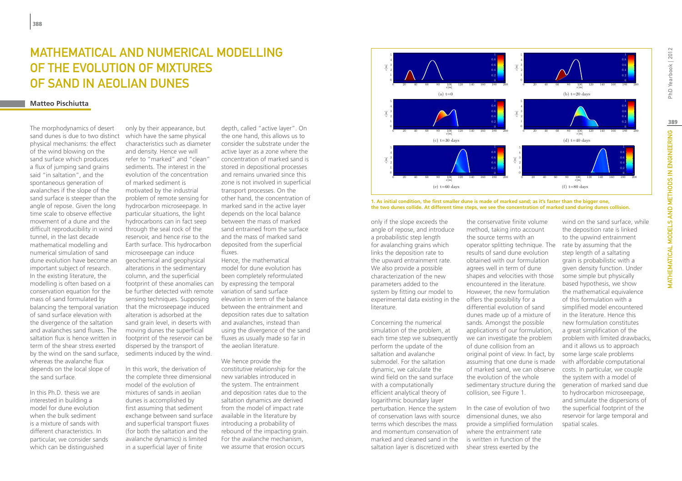# MATHEMATICAL AND NUMERICAL MODELLING of the evolution of mixtures of sand in aeolian dunes

### **Matteo Pischiutta**

The morphodynamics of desert sand dunes is due to two distinct physical mechanisms: the effect of the wind blowing on the sand surface which produces a flux of jumping sand grains said "in saltation", and the spontaneous generation of avalanches if the slope of the sand surface is steeper than the angle of repose. Given the long time scale to observe effective movement of a dune and the difficult reproducibility in wind tunnel, in the last decade mathematical modelling and numerical simulation of sand dune evolution have become an important subject of research. In the existing literature, the modelling is often based on a conservation equation for the mass of sand formulated by balancing the temporal variation of sand surface elevation with the divergence of the saltation and avalanches sand fluxes. The saltation flux is hence written in term of the shear stress exerted by the wind on the sand surface, whereas the avalanche flux depends on the local slope of the sand surface.

In this Ph.D. thesis we are interested in building a model for dune evolution when the bulk sediment is a mixture of sands with different characteristics. In particular, we consider sands which can be distinguished

only by their appearance, but which have the same physical characteristics such as diameter and density. Hence we will refer to "marked" and "clean" sediments. The interest in the evolution of the concentration of marked sediment is motivated by the industrial problem of remote sensing for hydrocarbon microseepage. In particular situations, the light hydrocarbons can in fact seep through the seal rock of the reservoir, and hence rise to the Earth surface. This hydrocarbon microseepage can induce geochemical and geophysical alterations in the sedimentary column, and the superficial footprint of these anomalies can be further detected with remote sensing techniques. Supposing that the microseepage induced alteration is adsorbed at the sand grain level, in deserts with moving dunes the superficial footprint of the reservoir can be dispersed by the transport of sediments induced by the wind.

In this work, the derivation of the complete three dimensional model of the evolution of mixtures of sands in aeolian dunes is accomplished by first assuming that sediment exchange between sand surface and superficial transport fluxes (for both the saltation and the avalanche dynamics) is limited in a superficial layer of finite

depth, called "active layer". On the one hand, this allows us to consider the substrate under the active layer as a zone where the concentration of marked sand is stored in depositional processes and remains unvaried since this zone is not involved in superficial transport processes. On the other hand, the concentration of marked sand in the active layer depends on the local balance between the mass of marked sand entrained from the surface and the mass of marked sand deposited from the superficial fluxes.

Hence, the mathematical model for dune evolution has been completely reformulated by expressing the temporal variation of sand surface elevation in term of the balance between the entrainment and deposition rates due to saltation and avalanches, instead than using the divergence of the sand fluxes as usually made so far in the aeolian literature.

We hence provide the constitutive relationship for the new variables introduced in the system. The entrainment and deposition rates due to the saltation dynamics are derived from the model of impact rate available in the literature by introducing a probability of rebound of the impacting grain. For the avalanche mechanism, we assume that erosion occurs



**1. As initial condition, the first smaller dune is made of marked sand; as it's faster than the bigger one, the two dunes collide. At different time steps, we see the concentration of marked sand during dunes collision.**

only if the slope exceeds the angle of repose, and introduce a probabilistic step length for avalanching grains which links the deposition rate to the upward entrainment rate. We also provide a possible characterization of the new parameters added to the system by fitting our model to experimental data existing in the offers the possibility for a literature.

Concerning the numerical simulation of the problem, at each time step we subsequently perform the update of the saltation and avalanche submodel. For the saltation dynamic, we calculate the wind field on the sand surface with a computationally efficient analytical theory of logarithmic boundary layer perturbation. Hence the system of conservation laws with source terms which describes the mass and momentum conservation of marked and cleaned sand in the saltation layer is discretized with

the conservative finite volume method, taking into account the source terms with an operator splitting technique. The results of sand dune evolution obtained with our formulation agrees well in term of dune shapes and velocities with those encountered in the literature. However, the new formulation differential evolution of sand dunes made up of a mixture of sands. Amongst the possible applications of our formulation, we can investigate the problem of dune collision from an original point of view. In fact, by assuming that one dune is made of marked sand, we can observe the evolution of the whole sedimentary structure during the collision, see Figure 1.

In the case of evolution of two dimensional dunes, we also provide a simplified formulation where the entrainment rate is written in function of the shear stress exerted by the

wind on the sand surface, while the deposition rate is linked to the upwind entrainment rate by assuming that the step length of a saltating grain is probabilistic with a given density function. Under some simple but physically based hypothesis, we show the mathematical equivalence of this formulation with a simplified model encountered in the literature. Hence this new formulation constitutes a great simplification of the problem with limited drawbacks, and it allows us to approach some large scale problems with affordable computational costs. In particular, we couple the system with a model of generation of marked sand due to hydrocarbon microseepage, and simulate the dispersions of the superficial footprint of the reservoir for large temporal and spatial scales.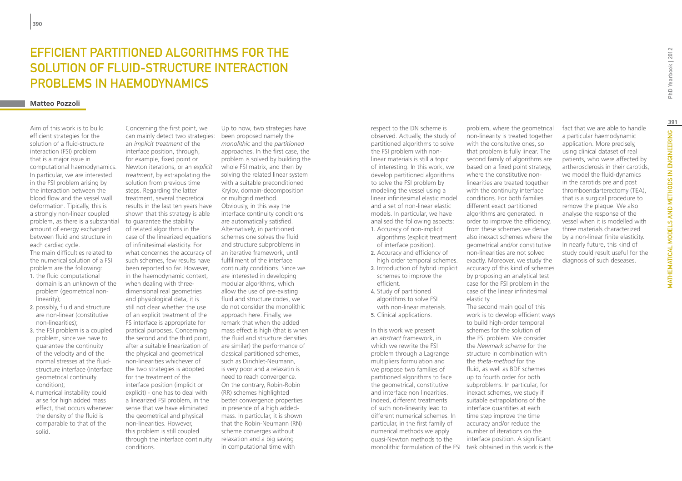# EFFICIENT PARTITIONED ALGORITHMS FOR THE SOLUTION OF FLUID-STRUCTURE INTERACTION PROBLEMS IN HAEMODYNAMICS

### **Matteo Pozzoli**

Aim of this work is to build efficient strategies for the solution of a fluid-structure interaction (FSI) problem that is a major issue in computational haemodynamics. In particular, we are interested in the FSI problem arising by the interaction between the blood flow and the vessel wall deformation. Tipically, this is a strongly non-linear coupled problem, as there is a substantial amount of energy exchanged between fluid and structure in each cardiac cycle. The main difficulties related to the numerical solution of a FSI

- problem are the following: 1. the fluid computational domain is an unknown of the problem (geometrical nonlinearity);
- 2. possibly, fluid and structure are non-linear (constitutive non-linearities);
- 3. the FSI problem is a coupled problem, since we have to guarantee the continuity of the velocity and of the normal stresses at the fluidstructure interface (interface geometrical continuity condition);
- 4. numerical instability could arise for high added mass effect, that occurs whenever the density of the fluid is comparable to that of the solid.

Concerning the first point, we can mainly detect two strategies: an *implicit treatment* of the interface position, through, for example, fixed point or Newton iterations, or an *explicit treatment*, by extrapolating the solution from previous time steps. Regarding the latter treatment, several theoretical results in the last ten years have shown that this strategy is able to guarantee the stability of related algorithms in the case of the linearized equations of infinitesimal elasticity. For what concernes the accuracy of such schemes, few results have been reported so far. However, in the haemodynamic context, when dealing with threedimensional real geometries and physiological data, it is still not clear whether the use of an explicit treatment of the FS interface is appropriate for pratical purposes. Concerning the second and the third point, after a suitable linearization of the physical and geometrical non-linearities whichever of the two strategies is adopted for the treatment of the interface position (implicit or explicit) - one has to deal with a linearized FSI problem, in the sense that we have eliminated the geometrical and physical non-linearities. However, this problem is still coupled through the interface continuity conditions.

Up to now, two strategies have been proposed namely the *monolithic* and the *partitioned*  approaches. In the first case, the problem is solved by building the whole FSI matrix, and then by solving the related linear system with a suitable preconditioned Krylov, domain-decomposition or multigrid method. Obviously, in this way the interface continuity conditions are automatically satisfied. Alternatively, in partitioned schemes one solves the fluid and structure subproblems in an iterative framework, until fulfillment of the interface continuity conditions. Since we are interested in developing modular algorithms, which allow the use of pre-existing fluid and structure codes, we do not consider the monolithic approach here. Finally, we remark that when the added mass effect is high (that is when the fluid and structure densities are similar) the performance of classical partitioned schemes, such as Dirichlet-Neumann, is very poor and a relaxatin is need to reach convergence. On the contrary, Robin-Robin (RR) schemes highlighted better convergence properties in presence of a high addedmass. In particular, it is shown that the Robin-Neumann (RN) scheme converges without relaxation and a big saving in computational time with

respect to the DN scheme is observed. Actually, the study of partitioned algorithms to solve the FSI problem with nonlinear materials is still a topic of interesting. In this work, we develop partitioned algorithms to solve the FSI problem by modeling the vessel using a linear infinitesimal elastic model and a set of non-linear elastic models. In particular, we have analised the following aspects:

- 1. Accuracy of non-implicit algorithms (explicit treatment of interface position).
- 2. Accuracy and efficiency of high order temporal schemes.
- 3. Introduction of hybrid implicit schemes to improve the efficient.
- 4. Study of partitioned algorithms to solve FSI with non-linear materials. 5. Clinical applications.

In this work we present an *abstract* framework, in which we rewrite the FSI problem through a Lagrange multipliers formulation and we propose two families of partitioned algorithms to face the geometrical, constitutive and interface non linearities. Indeed, different treatments of such non-linearity lead to different numerical schemes. In particular, in the first family of numerical methods we apply quasi-Newton methods to the monolithic formulation of the FSI task obtained in this work is the

problem, where the geometrical non-linearity is treated together with the consitutive ones, so that problem is fully linear. The second family of algorithms are based on a fixed point strategy, where the constitutive nonlinearities are treated together with the continuity interface conditions. For both families different exact partitioned algorithms are generated. In order to improve the efficiency, from these schemes we derive also inexact schemes where the geometrical and/or constitutive non-linearities are not solved exactly. Moreover, we study the accuracy of this kind of schemes by proposing an analytical test case for the FSI problem in the case of the linear infinitesimal elasticity. The second main goal of this

work is to develop efficient ways to build high-order temporal schemes for the solution of the FSI problem. We consider the *Newmark scheme* for the structure in combination with the *theta-method* for the fluid, as well as BDF schemes up to fourth order for both subproblems. In particular, for inexact schemes, we study if suitable extrapolations of the interface quantities at each time step improve the time accuracy and/or reduce the number of iterations on the interface position. A significant

fact that we are able to handle a particular haemodynamic application. More precisely, using clinical dataset of real patients, who were affected by artherosclerosis in their carotids, we model the fluid-dynamics in the carotids pre and post thromboendarterectomy (TEA), that is a surgical procedure to remove the plaque. We also analyse the response of the vessel when it is modelled with three materials characterized by a non-linear finite elasticity. In nearly future, this kind of study could result useful for the diagnosis of such deseases.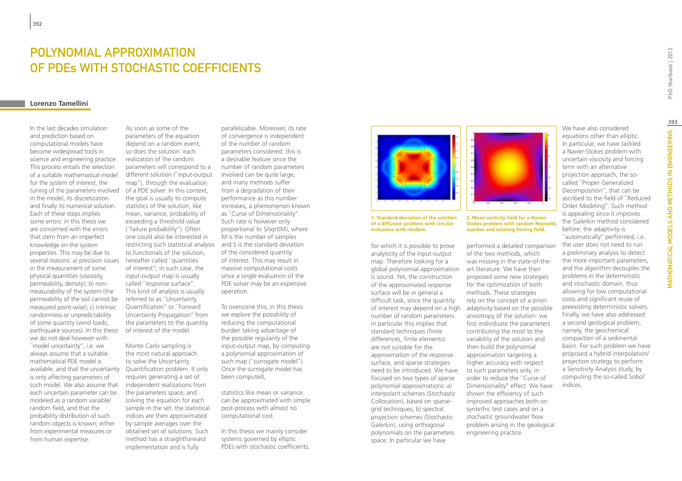# Polynomial approximation of PDEs with stochastic coefficients

### **Lorenzo Tamellini**

In the last decades simulation and prediction based on computational models have become widespread tools in science and engineering practice. This process entails the selection of a suitable mathematical model for the system of interest, the tuning of the parameters involved of a PDE solver. In this context, in the model, its discretization and finally its numerical solution. Each of these steps implies some errors: in this thesis we are concerned with the errors that stem from an imperfect knowledge on the system properties. This may be due to several reasons: a) precision issues in the measurament of some physical quantities (viscosity, permeability, density); b) nonmeasurability of the system (the permeability of the soil cannot be measured point-wise); c) intrinsic randomness or unpredictability of some quantity (wind loads, earthquake sources). In this thesis we do not deal however with ``model uncertainty'', i.e. we always assume that a suitable mathematical PDE model is available, and that the uncertainty is only affecting parameters of such model. We also assume that each uncertain parameter can be modeled as a random variable/ random field, and that the probability distribution of such random objects is known, either from experimental measures or from human expertise.

As soon as some of the parameters of the equation depend on a random event, so does the solution: each realization of the random parameters will correspond to a different solution (``input-output map''), through the evaluation the goal is usually to compute statistics of the solution, like mean, variance, probability of exceeding a threshold value (``failure probability''). Often one could also be interested in restricting such statistical analysis and S is the standard deviation to functionals of the solution, hereafter called ``quantities of interest''; in such case, the input-output map is usually called ``response surface''. This kind of analysis is usually referred to as ``Uncertainty Quantification'' or ``Forward Uncertainty Propagation'' from the parameters to the quantity of interest of the model.

Monte Carlo sampling is the most natural approach to solve the Uncertainty Quantification problem. It only requires generating a set of independent realizations from the parameters space, and solving the equation for each sample in the set: the statistical indices are then approximated by sample averages over the obtained set of solutions. Such method has a straightforward implementation and is fully

parallelizable. Moreover, its rate of convergence is independent of the number of random parameters considered: this is a desirable feature since the number of random parameters involved can be quite large, and many methods suffer from a degradation of their performance as this number increases, a phenomenon known as ``Curse of Dimensionality''. Such rate is however only proportional to S/sqrt(M), where M is the number of samples of the considered quantity of interest. This may result in massive computational costs since a single evaluation of the PDE solver may be an expensive operation.

To overcome this, in this thesis we explore the possibility of reducing the computational burden taking advantage of the possible regularity of the input-output map, by computing a polynomial approximation of such map ("surrogate model"). Once the surrogate model has been computed,

statistics like mean or variance can be approximated with simple post-process with almost no computational cost.

In this thesis we mainly consider systems governed by elliptic PDEs with stochastic coefficients,



**1. Standard deviation of the solution of a diffusion problem with circular inclusions with random.**

for which it is possible to prove analyticity of the input-output map. Therefore looking for a global polynomial approximation is sound. Yet, the construction of the approximated response surface will be in general a difficult task, since the quantity of interest may depend on a high number of random parameters: in particular this implies that standard techniques (finite differences, finite elements) are not suitable for the approximation of the response surface, and sparse strategies need to be introduced. We have focused on two types of sparse polynomial approximations: a) interpolant schemes (Stochastic Collocation), based on sparsegrid techniques; b) spectral projection schemes (Stochastic Galerkin), using orthogonal polynomials on the parameters space. In particular we have



**2. Mean vorticity field for a Navier-Stokes problem with random Reynolds number and rotating forcing field.**

performed a detailed comparison of the two methods, which was missing in the state-of-theart literature. We have then proposed some new strategies for the optimization of both methods. These strategies rely on the concept of a-priori adaptivity based on the possible anisotropy of the solution: we first individuate the parameters contributing the most to the variability of the solution and then build the polynomial approximation targeting a higher accuracy with respect to such parameters only, in order to reduce the ``Curse of Dimensionality'' effect. We have shown the efficiency of such improved approaches both on syntethic test cases and on a stochastic groundwater flow problem arising in the geological engineering practice.

We have also considered equations other than elliptic. In particular, we have tackled a Navier-Stokes problem with uncertain viscosity and forcing term with an alternative projection approach, the socalled ``Proper Generalized Decomposition'', that can be ascribed to the field of ``Reduced Order Modeling''. Such method is appealing since it improves the Galerkin method considered before: the adaptivity is ``automatically'' performed, i.e. the user does not need to run a preliminary analysis to detect the more important parameters, and the algorithm decouples the problems in the deterministic and stochastic domain, thus allowing for low computational costs and significant reuse of preexisting deterministic solvers. Finally, we have also addressed a second geological problem, namely, the geochemical compaction of a sedimental basin. For such problem we have proposed a hybrid interpolation/ projection strategy to perform a Sensitivity Analysis study, by computing the so-called Sobol'

indices.

MATHEMATICAL MODELS AND METHODS IN ENGINEERING | W<br>MATHEMATICAL MODELS AND METHODS IN ENGINEERING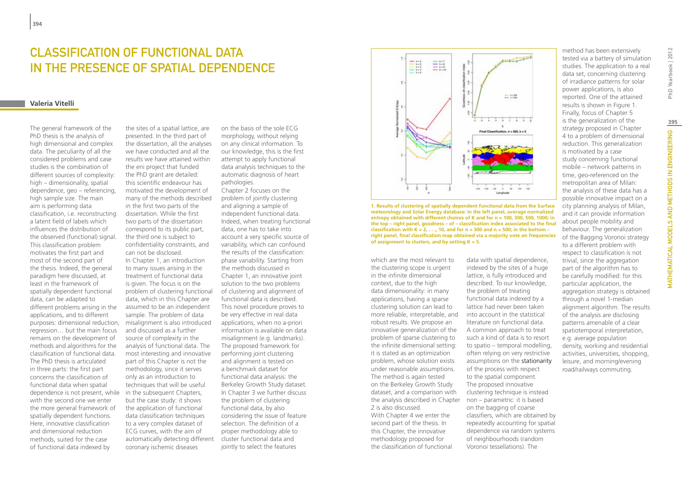### CLASSIFICATION OF FUNCTIONAL DATA in the presence of Spatial Dependence

### **Valeria Vitelli**

The general framework of the PhD thesis is the analysis of high dimensional and complex data. The peculiarity of all the considered problems and case studies is the combination of different sources of complexity: high – dimensionality, spatial dependence, geo – referencing, high sample size. The main aim is performing data classification, i.e. reconstructing a latent field of labels which influences the distribution of the observed (functional) signal. This classification problem motivates the first part and most of the second part of the thesis. Indeed, the general paradigm here discussed, at least in the framework of spatially dependent functional data, can be adapted to different problems arising in the applications, and to different purposes: dimensional reduction, regression… but the main focus remains on the development of methods and algorithms for the classification of functional data. The PhD thesis is articulated in three parts: the first part concerns the classification of functional data when spatial dependence is not present, while with the second one we enter the more general framework of spatially dependent functions. Here, innovative classification and dimensional reduction methods, suited for the case of functional data indexed by

the sites of a spatial lattice, are presented. In the third part of the dissertation, all the analyses we have conducted and all the results we have attained within the eni project that funded the PhD grant are detailed: this scientific endeavour has motivated the development of many of the methods described in the first two parts of the dissertation. While the first two parts of the dissertation correspond to its public part, the third one is subject to confidentiality constraints, and can not be disclosed. In Chapter 1, an introduction to many issues arising in the treatment of functional data is given. The focus is on the problem of clustering functional data, which in this Chapter are assumed to be an independent sample. The problem of data misalignment is also introduced and discussed as a further source of complexity in the analysis of functional data. The most interesting and innovative part of this Chapter is not the methodology, since it serves only as an introduction to techniques that will be useful in the subsequent Chapters, but the case study: it shows the application of functional data classification techniques to a very complex dataset of ECG curves, with the aim of automatically detecting different cluster functional data and coronary ischemic diseases

on the basis of the sole ECG morphology, without relying on any clinical information. To our knowledge, this is the first attempt to apply functional data analysis techniques to the automatic diagnosis of heart pathologies.

Chapter 2 focuses on the problem of jointly clustering and aligning a sample of independent functional data. Indeed, when treating functional data, one has to take into account a very specific source of variability, which can confound the results of the classification: phase variability. Starting from the methods discussed in Chapter 1, an innovative joint solution to the two problems of clustering and alignment of functional data is described. This novel procedure proves to be very effective in real data applications, when no a-priori information is available on data misalignment (e.g. landmarks). The proposed framework for performing joint clustering and alignment is tested on a benchmark dataset for functional data analysis: the Berkeley Growth Study dataset. In Chapter 3 we further discuss the problem of clustering functional data, by also considering the issue of feature selection. The definition of a proper methodology able to jointly to select the features



**1. Results of clustering of spatially dependent functional data from the Surface meteorology and Solar Energy database: in the left panel, average normalized entropy obtained with different choices of K and for n = 100, 300, 500, 1000; in the top – right panel, goodness – of – classification index associated to the final**  classification with  $K = 2, \ldots, 10$ , and for  $n = 300$  and  $n = 500$ ; in the bottom – **right panel, final classification map obtained via a majority vote on frequencies of assignment to clusters, and by setting K = 5.**

which are the most relevant to the clustering scope is urgent in the infinite dimensional context, due to the high data dimensionality: in many applications, having a sparse clustering solution can lead to more reliable, interpretable, and robust results. We propose an innovative generalization of the problem of sparse clustering to the infinite dimensional setting: it is stated as an optimization problem, whose solution exists under reasonable assumptions. The method is again tested on the Berkeley Growth Study dataset, and a comparison with the analysis described in Chapter 2 is also discussed. With Chapter 4 we enter the second part of the thesis. In this Chapter, the innovative methodology proposed for the classification of functional

indexed by the sites of a huge lattice, is fully introduced and described. To our knowledge, the problem of treating functional data indexed by a lattice had never been taken into account in the statistical literature on functional data. A common approach to treat such a kind of data is to resort to spatio – temporal modelling, often relying on very restrictive assumptions on the stationarity of the process with respect to the spatial component. The proposed innovative clustering technique is instead non – parametric: it is based on the bagging of coarse classifiers, which are obtained by repeatedly accounting for spatial dependence via random systems of neighbourhoods (random Voronoi tessellations). The

data with spatial dependence,

tested via a battery of simulation studies. The application to a real data set, concerning clustering of irradiance patterns for solar power applications, is also reported. One of the attained results is shown in Figure 1. Finally, focus of Chapter 5 is the generalization of the strategy proposed in Chapter 4 to a problem of dimensional reduction. This generalization is motivated by a case study concerning functional mobile – network patterns in time, geo-referenced on the metropolitan area of Milan: the analysis of these data has a possible innovative impact on a city planning analysis of Milan, and it can provide information about people mobility and behaviour. The generalization of the Bagging Voronoi strategy to a different problem with respect to classification is not trivial, since the aggregation part of the algorithm has to be carefully modified: for this particular application, the aggregation strategy is obtained through a novel 1-median alignment algorithm. The results of the analysis are disclosing patterns amenable of a clear spatiotemporal interpretation, e.g. average population density, working and residential activities, universities, shopping, leisure, and morning/evening road/railways commuting.

method has been extensively